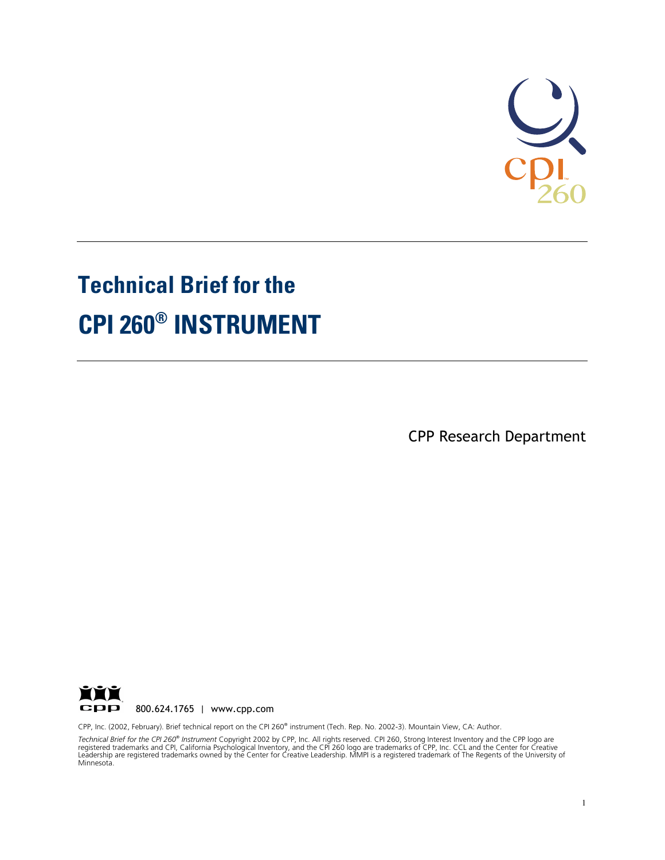

# **Technical Brief for the CPI 260® INSTRUMENT**

CPP Research Department



CPP, Inc. (2002, February). Brief technical report on the CPI 260® instrument (Tech. Rep. No. 2002-3). Mountain View, CA: Author.

*Technical Brief for the CPI 260® Instrument* Copyright 2002 by CPP, Inc. All rights reserved. CPI 260, Strong Interest Inventory and the CPP logo are<br>registered trademarks and CPI, California Psychological Inventory, and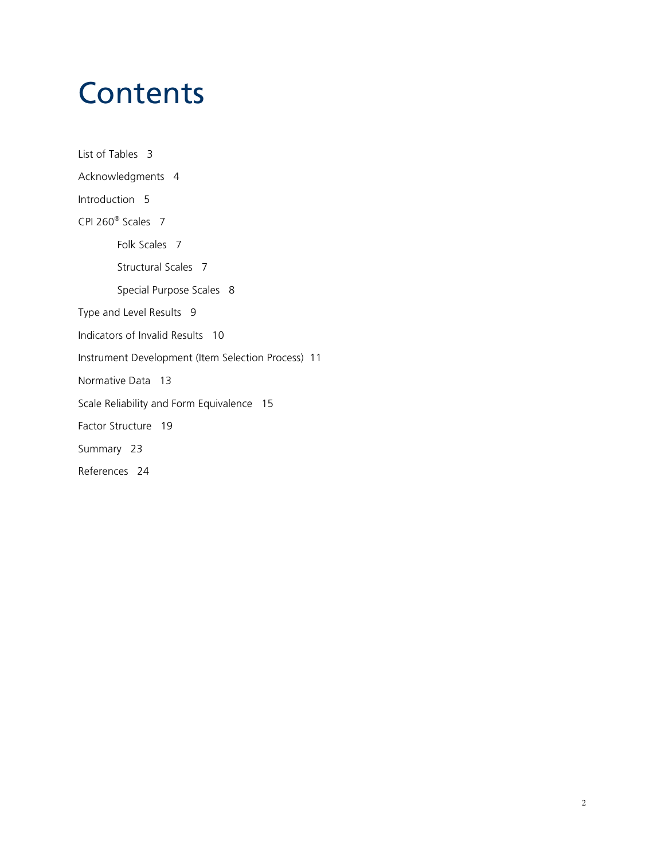### **Contents**

List of Tables 3 Acknowledgments 4 Introduction 5 CPI 260® Scales 7 Folk Scales 7 Structural Scales 7 Special Purpose Scales 8 Type and Level Results 9 Indicators of Invalid Results 10 Instrument Development (Item Selection Process) 11 Normative Data 13 Scale Reliability and Form Equivalence 15 Factor Structure 19 Summary 23 References 24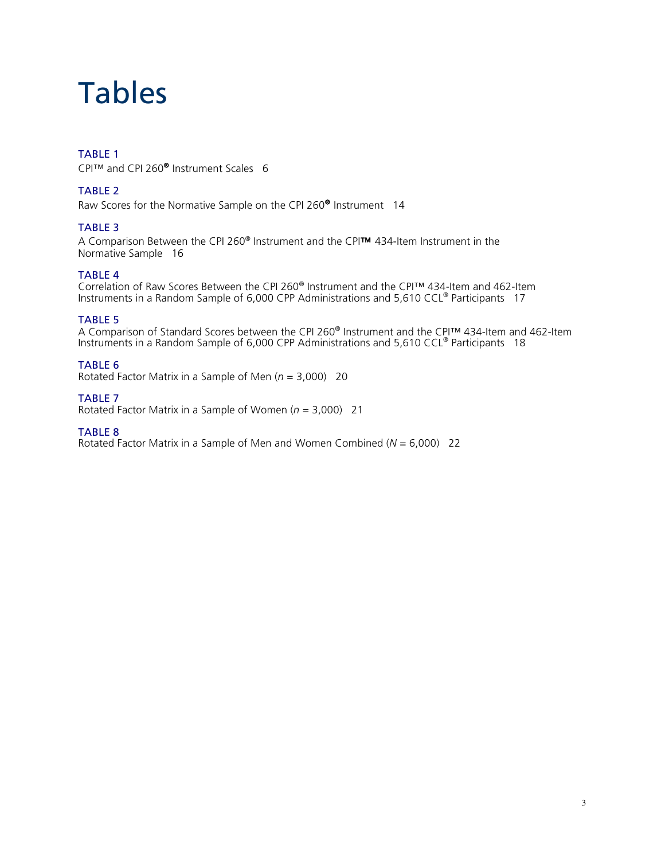### Tables

### TABLE 1

CPI™ and CPI 260® Instrument Scales 6

#### TABLE 2

Raw Scores for the Normative Sample on the CPI 260® Instrument 14

#### TABLE 3

A Comparison Between the CPI 260® Instrument and the CPI™ 434-Item Instrument in the Normative Sample 16

#### TABLE 4

Correlation of Raw Scores Between the CPI 260® Instrument and the CPI™ 434-Item and 462-Item Instruments in a Random Sample of 6,000 CPP Administrations and 5,610 CCL® Participants 17

#### TABLE 5

A Comparison of Standard Scores between the CPI 260® Instrument and the CPI™ 434-Item and 462-Item Instruments in a Random Sample of 6,000 CPP Administrations and 5,610 CCL® Participants 18

#### TABLE 6

Rotated Factor Matrix in a Sample of Men (*n* = 3,000) 20

#### TABLE 7

Rotated Factor Matrix in a Sample of Women (*n* = 3,000) 21

#### TABLE 8

Rotated Factor Matrix in a Sample of Men and Women Combined (*N* = 6,000) 22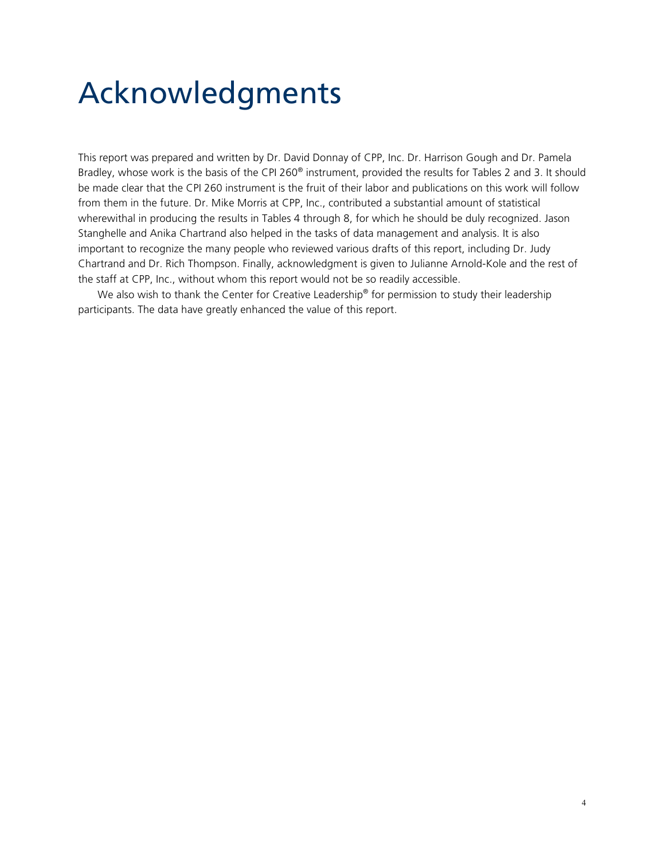# Acknowledgments

This report was prepared and written by Dr. David Donnay of CPP, Inc. Dr. Harrison Gough and Dr. Pamela Bradley, whose work is the basis of the CPI 260® instrument, provided the results for Tables 2 and 3. It should be made clear that the CPI 260 instrument is the fruit of their labor and publications on this work will follow from them in the future. Dr. Mike Morris at CPP, Inc., contributed a substantial amount of statistical wherewithal in producing the results in Tables 4 through 8, for which he should be duly recognized. Jason Stanghelle and Anika Chartrand also helped in the tasks of data management and analysis. It is also important to recognize the many people who reviewed various drafts of this report, including Dr. Judy Chartrand and Dr. Rich Thompson. Finally, acknowledgment is given to Julianne Arnold-Kole and the rest of the staff at CPP, Inc., without whom this report would not be so readily accessible.

We also wish to thank the Center for Creative Leadership<sup>®</sup> for permission to study their leadership participants. The data have greatly enhanced the value of this report.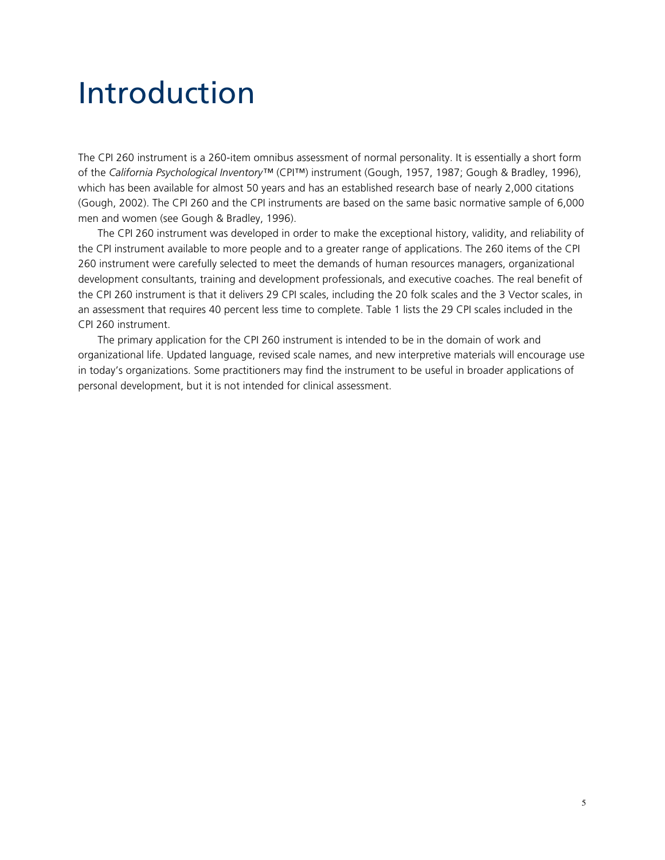### Introduction

The CPI 260 instrument is a 260-item omnibus assessment of normal personality. It is essentially a short form of the *California Psychological Inventory™* (CPI™) instrument (Gough, 1957, 1987; Gough & Bradley, 1996), which has been available for almost 50 years and has an established research base of nearly 2,000 citations (Gough, 2002). The CPI 260 and the CPI instruments are based on the same basic normative sample of 6,000 men and women (see Gough & Bradley, 1996).

The CPI 260 instrument was developed in order to make the exceptional history, validity, and reliability of the CPI instrument available to more people and to a greater range of applications. The 260 items of the CPI 260 instrument were carefully selected to meet the demands of human resources managers, organizational development consultants, training and development professionals, and executive coaches. The real benefit of the CPI 260 instrument is that it delivers 29 CPI scales, including the 20 folk scales and the 3 Vector scales, in an assessment that requires 40 percent less time to complete. Table 1 lists the 29 CPI scales included in the CPI 260 instrument.

The primary application for the CPI 260 instrument is intended to be in the domain of work and organizational life. Updated language, revised scale names, and new interpretive materials will encourage use in today's organizations. Some practitioners may find the instrument to be useful in broader applications of personal development, but it is not intended for clinical assessment.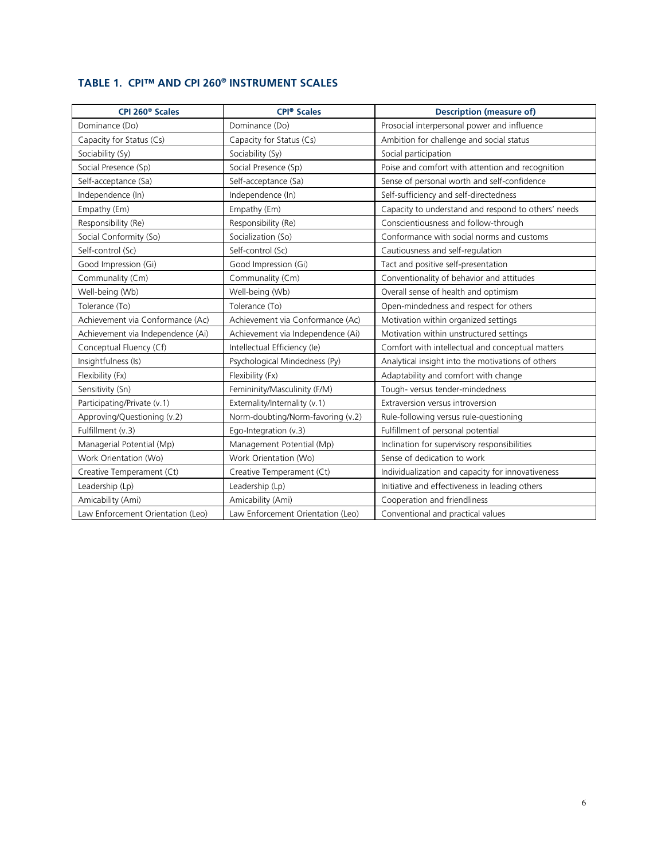### **TABLE 1. CPI™ AND CPI 260® INSTRUMENT SCALES**

| CPI 260 <sup>®</sup> Scales       | <b>CPI<sup>®</sup></b> Scales     | <b>Description (measure of)</b>                     |
|-----------------------------------|-----------------------------------|-----------------------------------------------------|
| Dominance (Do)                    | Dominance (Do)                    | Prosocial interpersonal power and influence         |
| Capacity for Status (Cs)          | Capacity for Status (Cs)          | Ambition for challenge and social status            |
| Sociability (Sy)                  | Sociability (Sy)                  | Social participation                                |
| Social Presence (Sp)              | Social Presence (Sp)              | Poise and comfort with attention and recognition    |
| Self-acceptance (Sa)              | Self-acceptance (Sa)              | Sense of personal worth and self-confidence         |
| Independence (In)                 | Independence (In)                 | Self-sufficiency and self-directedness              |
| Empathy (Em)                      | Empathy (Em)                      | Capacity to understand and respond to others' needs |
| Responsibility (Re)               | Responsibility (Re)               | Conscientiousness and follow-through                |
| Social Conformity (So)            | Socialization (So)                | Conformance with social norms and customs           |
| Self-control (Sc)                 | Self-control (Sc)                 | Cautiousness and self-regulation                    |
| Good Impression (Gi)              | Good Impression (Gi)              | Tact and positive self-presentation                 |
| Communality (Cm)                  | Communality (Cm)                  | Conventionality of behavior and attitudes           |
| Well-being (Wb)                   | Well-being (Wb)                   | Overall sense of health and optimism                |
| Tolerance (To)                    | Tolerance (To)                    | Open-mindedness and respect for others              |
| Achievement via Conformance (Ac)  | Achievement via Conformance (Ac)  | Motivation within organized settings                |
| Achievement via Independence (Ai) | Achievement via Independence (Ai) | Motivation within unstructured settings             |
| Conceptual Fluency (Cf)           | Intellectual Efficiency (le)      | Comfort with intellectual and conceptual matters    |
| Insightfulness (Is)               | Psychological Mindedness (Py)     | Analytical insight into the motivations of others   |
| Flexibility (Fx)                  | Flexibility (Fx)                  | Adaptability and comfort with change                |
| Sensitivity (Sn)                  | Femininity/Masculinity (F/M)      | Tough-versus tender-mindedness                      |
| Participating/Private (v.1)       | Externality/Internality (v.1)     | Extraversion versus introversion                    |
| Approving/Questioning (v.2)       | Norm-doubting/Norm-favoring (v.2) | Rule-following versus rule-questioning              |
| Fulfillment (v.3)                 | Ego-Integration (v.3)             | Fulfillment of personal potential                   |
| Managerial Potential (Mp)         | Management Potential (Mp)         | Inclination for supervisory responsibilities        |
| Work Orientation (Wo)             | Work Orientation (Wo)             | Sense of dedication to work                         |
| Creative Temperament (Ct)         | Creative Temperament (Ct)         | Individualization and capacity for innovativeness   |
| Leadership (Lp)                   | Leadership (Lp)                   | Initiative and effectiveness in leading others      |
| Amicability (Ami)                 | Amicability (Ami)                 | Cooperation and friendliness                        |
| Law Enforcement Orientation (Leo) | Law Enforcement Orientation (Leo) | Conventional and practical values                   |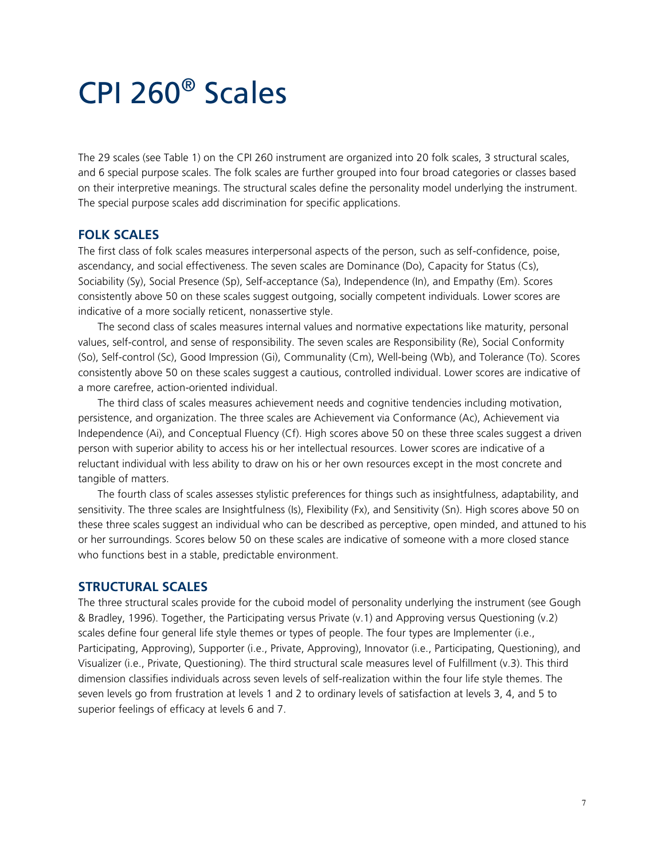### CPI 260® Scales

The 29 scales (see Table 1) on the CPI 260 instrument are organized into 20 folk scales, 3 structural scales, and 6 special purpose scales. The folk scales are further grouped into four broad categories or classes based on their interpretive meanings. The structural scales define the personality model underlying the instrument. The special purpose scales add discrimination for specific applications.

### **FOLK SCALES**

The first class of folk scales measures interpersonal aspects of the person, such as self-confidence, poise, ascendancy, and social effectiveness. The seven scales are Dominance (Do), Capacity for Status (Cs), Sociability (Sy), Social Presence (Sp), Self-acceptance (Sa), Independence (In), and Empathy (Em). Scores consistently above 50 on these scales suggest outgoing, socially competent individuals. Lower scores are indicative of a more socially reticent, nonassertive style.

The second class of scales measures internal values and normative expectations like maturity, personal values, self-control, and sense of responsibility. The seven scales are Responsibility (Re), Social Conformity (So), Self-control (Sc), Good Impression (Gi), Communality (Cm), Well-being (Wb), and Tolerance (To). Scores consistently above 50 on these scales suggest a cautious, controlled individual. Lower scores are indicative of a more carefree, action-oriented individual.

The third class of scales measures achievement needs and cognitive tendencies including motivation, persistence, and organization. The three scales are Achievement via Conformance (Ac), Achievement via Independence (Ai), and Conceptual Fluency (Cf). High scores above 50 on these three scales suggest a driven person with superior ability to access his or her intellectual resources. Lower scores are indicative of a reluctant individual with less ability to draw on his or her own resources except in the most concrete and tangible of matters.

The fourth class of scales assesses stylistic preferences for things such as insightfulness, adaptability, and sensitivity. The three scales are Insightfulness (Is), Flexibility (Fx), and Sensitivity (Sn). High scores above 50 on these three scales suggest an individual who can be described as perceptive, open minded, and attuned to his or her surroundings. Scores below 50 on these scales are indicative of someone with a more closed stance who functions best in a stable, predictable environment.

#### **STRUCTURAL SCALES**

The three structural scales provide for the cuboid model of personality underlying the instrument (see Gough & Bradley, 1996). Together, the Participating versus Private (v.1) and Approving versus Questioning (v.2) scales define four general life style themes or types of people. The four types are Implementer (i.e., Participating, Approving), Supporter (i.e., Private, Approving), Innovator (i.e., Participating, Questioning), and Visualizer (i.e., Private, Questioning). The third structural scale measures level of Fulfillment (v.3). This third dimension classifies individuals across seven levels of self-realization within the four life style themes. The seven levels go from frustration at levels 1 and 2 to ordinary levels of satisfaction at levels 3, 4, and 5 to superior feelings of efficacy at levels 6 and 7.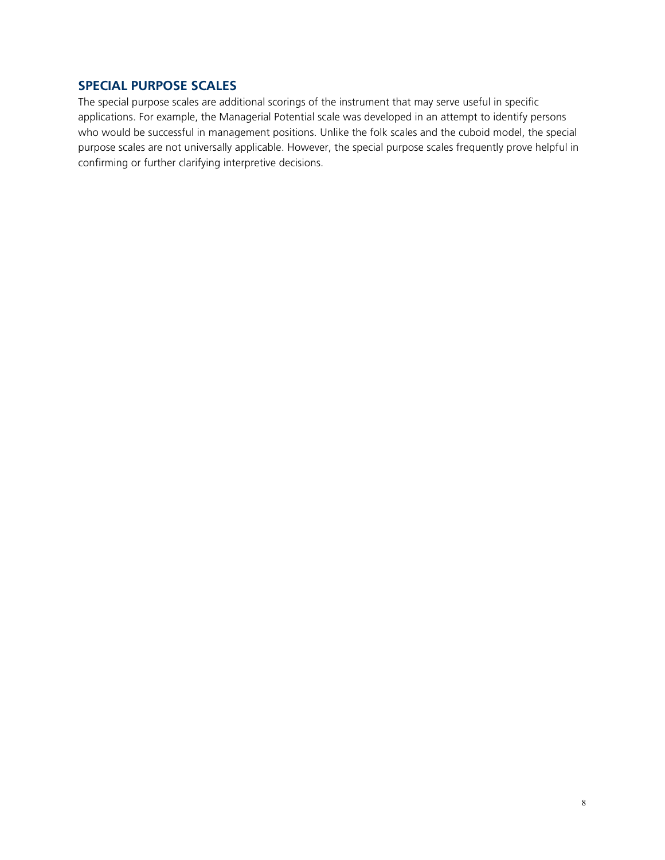### **SPECIAL PURPOSE SCALES**

The special purpose scales are additional scorings of the instrument that may serve useful in specific applications. For example, the Managerial Potential scale was developed in an attempt to identify persons who would be successful in management positions. Unlike the folk scales and the cuboid model, the special purpose scales are not universally applicable. However, the special purpose scales frequently prove helpful in confirming or further clarifying interpretive decisions.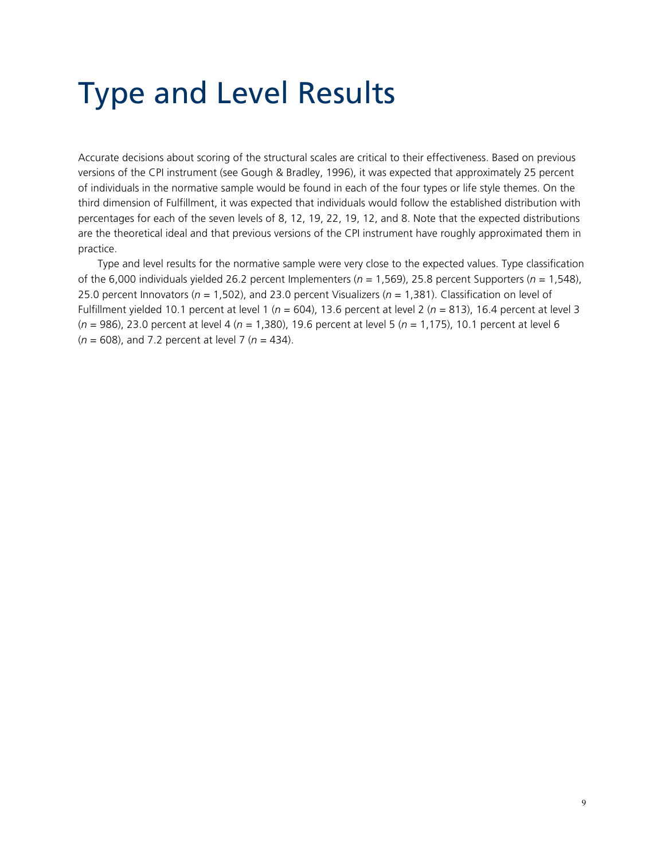## Type and Level Results

Accurate decisions about scoring of the structural scales are critical to their effectiveness. Based on previous versions of the CPI instrument (see Gough & Bradley, 1996), it was expected that approximately 25 percent of individuals in the normative sample would be found in each of the four types or life style themes. On the third dimension of Fulfillment, it was expected that individuals would follow the established distribution with percentages for each of the seven levels of 8, 12, 19, 22, 19, 12, and 8. Note that the expected distributions are the theoretical ideal and that previous versions of the CPI instrument have roughly approximated them in practice.

Type and level results for the normative sample were very close to the expected values. Type classification of the 6,000 individuals yielded 26.2 percent Implementers (*n* = 1,569), 25.8 percent Supporters (*n* = 1,548), 25.0 percent Innovators (*n* = 1,502), and 23.0 percent Visualizers (*n* = 1,381). Classification on level of Fulfillment yielded 10.1 percent at level 1 (*n* = 604), 13.6 percent at level 2 (*n* = 813), 16.4 percent at level 3 (*n* = 986), 23.0 percent at level 4 (*n* = 1,380), 19.6 percent at level 5 (*n* = 1,175), 10.1 percent at level 6 (*n* = 608), and 7.2 percent at level 7 (*n* = 434).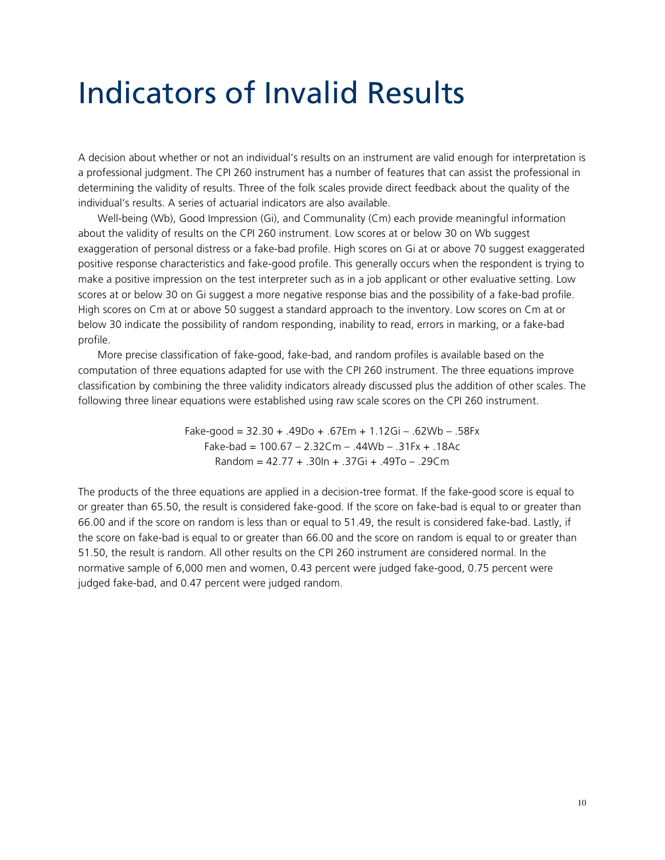## Indicators of Invalid Results

A decision about whether or not an individual's results on an instrument are valid enough for interpretation is a professional judgment. The CPI 260 instrument has a number of features that can assist the professional in determining the validity of results. Three of the folk scales provide direct feedback about the quality of the individual's results. A series of actuarial indicators are also available.

Well-being (Wb), Good Impression (Gi), and Communality (Cm) each provide meaningful information about the validity of results on the CPI 260 instrument. Low scores at or below 30 on Wb suggest exaggeration of personal distress or a fake-bad profile. High scores on Gi at or above 70 suggest exaggerated positive response characteristics and fake-good profile. This generally occurs when the respondent is trying to make a positive impression on the test interpreter such as in a job applicant or other evaluative setting. Low scores at or below 30 on Gi suggest a more negative response bias and the possibility of a fake-bad profile. High scores on Cm at or above 50 suggest a standard approach to the inventory. Low scores on Cm at or below 30 indicate the possibility of random responding, inability to read, errors in marking, or a fake-bad profile.

More precise classification of fake-good, fake-bad, and random profiles is available based on the computation of three equations adapted for use with the CPI 260 instrument. The three equations improve classification by combining the three validity indicators already discussed plus the addition of other scales. The following three linear equations were established using raw scale scores on the CPI 260 instrument.

> Fake-good =  $32.30 + .49Do + .67Em + 1.12Gi - .62Wb - .58Fx$ Fake-bad = 100.67 – 2.32Cm – .44Wb – .31Fx + .18Ac Random = 42.77 + .30In + .37Gi + .49To – .29Cm

The products of the three equations are applied in a decision-tree format. If the fake-good score is equal to or greater than 65.50, the result is considered fake-good. If the score on fake-bad is equal to or greater than 66.00 and if the score on random is less than or equal to 51.49, the result is considered fake-bad. Lastly, if the score on fake-bad is equal to or greater than 66.00 and the score on random is equal to or greater than 51.50, the result is random. All other results on the CPI 260 instrument are considered normal. In the normative sample of 6,000 men and women, 0.43 percent were judged fake-good, 0.75 percent were judged fake-bad, and 0.47 percent were judged random.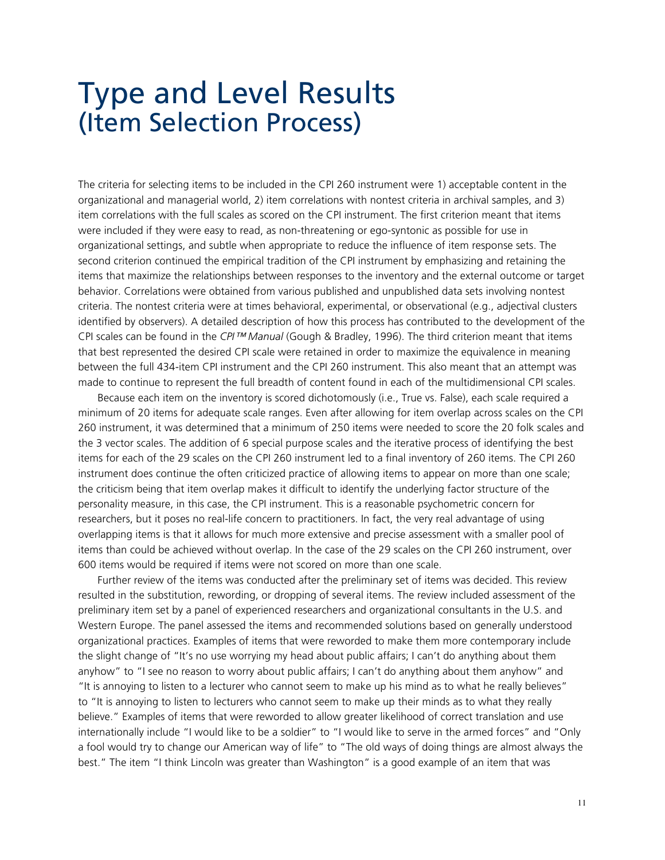### Type and Level Results (Item Selection Process)

The criteria for selecting items to be included in the CPI 260 instrument were 1) acceptable content in the organizational and managerial world, 2) item correlations with nontest criteria in archival samples, and 3) item correlations with the full scales as scored on the CPI instrument. The first criterion meant that items were included if they were easy to read, as non-threatening or ego-syntonic as possible for use in organizational settings, and subtle when appropriate to reduce the influence of item response sets. The second criterion continued the empirical tradition of the CPI instrument by emphasizing and retaining the items that maximize the relationships between responses to the inventory and the external outcome or target behavior. Correlations were obtained from various published and unpublished data sets involving nontest criteria. The nontest criteria were at times behavioral, experimental, or observational (e.g., adjectival clusters identified by observers). A detailed description of how this process has contributed to the development of the CPI scales can be found in the *CPI™ Manual* (Gough & Bradley, 1996). The third criterion meant that items that best represented the desired CPI scale were retained in order to maximize the equivalence in meaning between the full 434-item CPI instrument and the CPI 260 instrument. This also meant that an attempt was made to continue to represent the full breadth of content found in each of the multidimensional CPI scales.

Because each item on the inventory is scored dichotomously (i.e., True vs. False), each scale required a minimum of 20 items for adequate scale ranges. Even after allowing for item overlap across scales on the CPI 260 instrument, it was determined that a minimum of 250 items were needed to score the 20 folk scales and the 3 vector scales. The addition of 6 special purpose scales and the iterative process of identifying the best items for each of the 29 scales on the CPI 260 instrument led to a final inventory of 260 items. The CPI 260 instrument does continue the often criticized practice of allowing items to appear on more than one scale; the criticism being that item overlap makes it difficult to identify the underlying factor structure of the personality measure, in this case, the CPI instrument. This is a reasonable psychometric concern for researchers, but it poses no real-life concern to practitioners. In fact, the very real advantage of using overlapping items is that it allows for much more extensive and precise assessment with a smaller pool of items than could be achieved without overlap. In the case of the 29 scales on the CPI 260 instrument, over 600 items would be required if items were not scored on more than one scale.

Further review of the items was conducted after the preliminary set of items was decided. This review resulted in the substitution, rewording, or dropping of several items. The review included assessment of the preliminary item set by a panel of experienced researchers and organizational consultants in the U.S. and Western Europe. The panel assessed the items and recommended solutions based on generally understood organizational practices. Examples of items that were reworded to make them more contemporary include the slight change of "It's no use worrying my head about public affairs; I can't do anything about them anyhow" to "I see no reason to worry about public affairs; I can't do anything about them anyhow" and "It is annoying to listen to a lecturer who cannot seem to make up his mind as to what he really believes" to "It is annoying to listen to lecturers who cannot seem to make up their minds as to what they really believe." Examples of items that were reworded to allow greater likelihood of correct translation and use internationally include "I would like to be a soldier" to "I would like to serve in the armed forces" and "Only a fool would try to change our American way of life" to "The old ways of doing things are almost always the best." The item "I think Lincoln was greater than Washington" is a good example of an item that was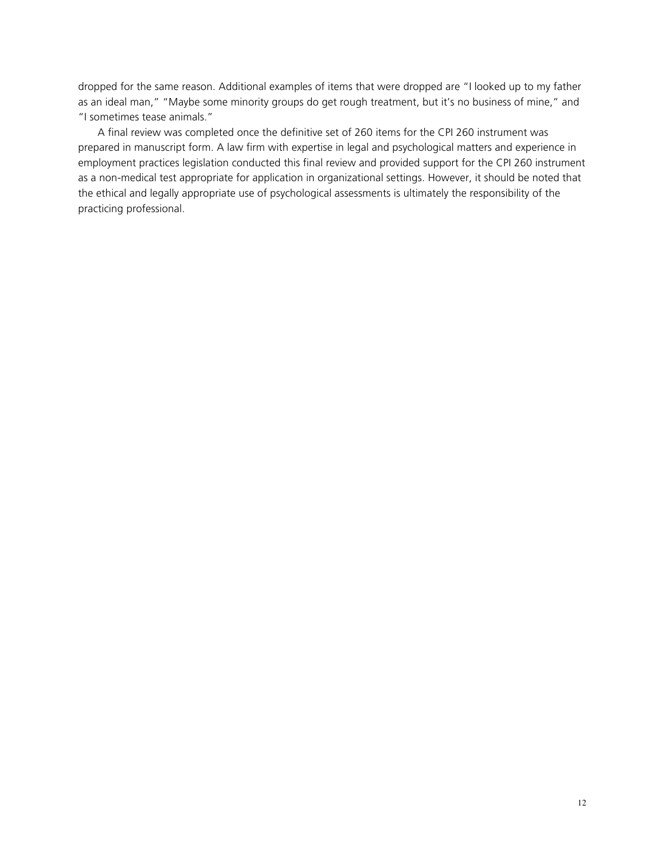dropped for the same reason. Additional examples of items that were dropped are "I looked up to my father as an ideal man," "Maybe some minority groups do get rough treatment, but it's no business of mine," and "I sometimes tease animals."

A final review was completed once the definitive set of 260 items for the CPI 260 instrument was prepared in manuscript form. A law firm with expertise in legal and psychological matters and experience in employment practices legislation conducted this final review and provided support for the CPI 260 instrument as a non-medical test appropriate for application in organizational settings. However, it should be noted that the ethical and legally appropriate use of psychological assessments is ultimately the responsibility of the practicing professional.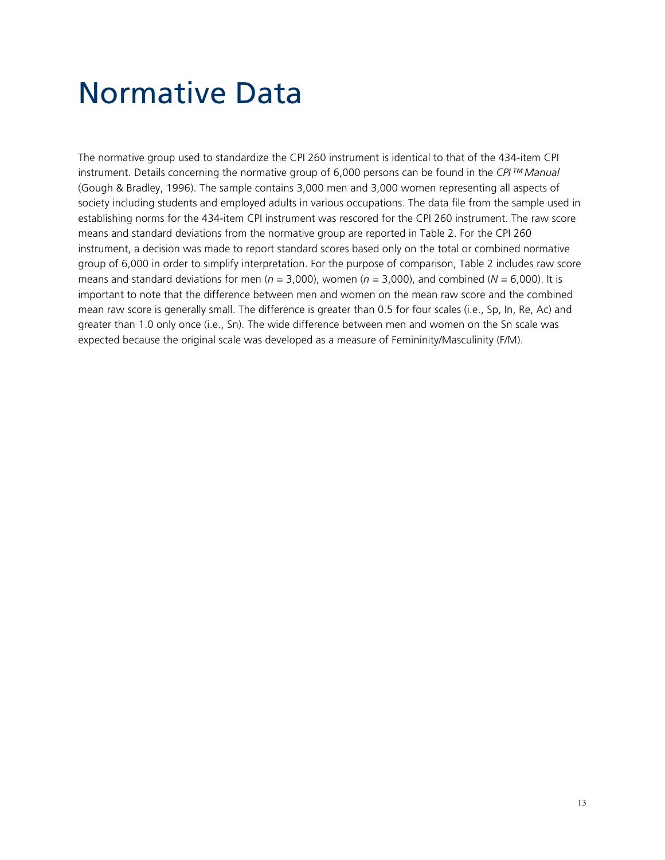### Normative Data

The normative group used to standardize the CPI 260 instrument is identical to that of the 434-item CPI instrument. Details concerning the normative group of 6,000 persons can be found in the *CPI™ Manual* (Gough & Bradley, 1996). The sample contains 3,000 men and 3,000 women representing all aspects of society including students and employed adults in various occupations. The data file from the sample used in establishing norms for the 434-item CPI instrument was rescored for the CPI 260 instrument. The raw score means and standard deviations from the normative group are reported in Table 2. For the CPI 260 instrument, a decision was made to report standard scores based only on the total or combined normative group of 6,000 in order to simplify interpretation. For the purpose of comparison, Table 2 includes raw score means and standard deviations for men ( $n = 3,000$ ), women ( $n = 3,000$ ), and combined ( $N = 6,000$ ). It is important to note that the difference between men and women on the mean raw score and the combined mean raw score is generally small. The difference is greater than 0.5 for four scales (i.e., Sp, In, Re, Ac) and greater than 1.0 only once (i.e., Sn). The wide difference between men and women on the Sn scale was expected because the original scale was developed as a measure of Femininity/Masculinity (F/M).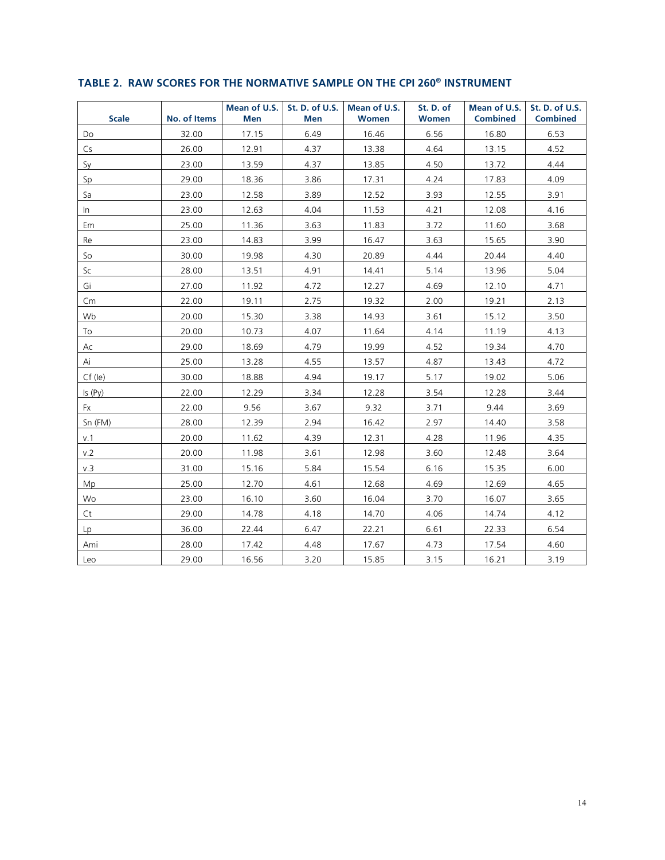| <b>Scale</b> | No. of Items | Men   | Men  | Mean of U.S. St. D. of U.S. Mean of U.S.<br><b>Women</b> | St. D. of<br><b>Women</b> | <b>Combined</b> | Mean of U.S. St. D. of U.S.<br><b>Combined</b> |
|--------------|--------------|-------|------|----------------------------------------------------------|---------------------------|-----------------|------------------------------------------------|
| Do           | 32.00        | 17.15 | 6.49 | 16.46                                                    | 6.56                      | 16.80           | 6.53                                           |
| Cs           | 26.00        | 12.91 | 4.37 | 13.38                                                    | 4.64                      | 13.15           | 4.52                                           |
| Sy           | 23.00        | 13.59 | 4.37 | 13.85                                                    | 4.50                      | 13.72           | 4.44                                           |
| Sp           | 29.00        | 18.36 | 3.86 | 17.31                                                    | 4.24                      | 17.83           | 4.09                                           |
| Sa           | 23.00        | 12.58 | 3.89 | 12.52                                                    | 3.93                      | 12.55           | 3.91                                           |
| In           | 23.00        | 12.63 | 4.04 | 11.53                                                    | 4.21                      | 12.08           | 4.16                                           |
| Em           | 25.00        | 11.36 | 3.63 | 11.83                                                    | 3.72                      | 11.60           | 3.68                                           |
| Re           | 23.00        | 14.83 | 3.99 | 16.47                                                    | 3.63                      | 15.65           | 3.90                                           |
| So           | 30.00        | 19.98 | 4.30 | 20.89                                                    | 4.44                      | 20.44           | 4.40                                           |
| Sc           | 28.00        | 13.51 | 4.91 | 14.41                                                    | 5.14                      | 13.96           | 5.04                                           |
| Gi           | 27.00        | 11.92 | 4.72 | 12.27                                                    | 4.69                      | 12.10           | 4.71                                           |
| Cm           | 22.00        | 19.11 | 2.75 | 19.32                                                    | 2.00                      | 19.21           | 2.13                                           |
| Wb           | 20.00        | 15.30 | 3.38 | 14.93                                                    | 3.61                      | 15.12           | 3.50                                           |
| To           | 20.00        | 10.73 | 4.07 | 11.64                                                    | 4.14                      | 11.19           | 4.13                                           |
| Ac           | 29.00        | 18.69 | 4.79 | 19.99                                                    | 4.52                      | 19.34           | 4.70                                           |
| Ai           | 25.00        | 13.28 | 4.55 | 13.57                                                    | 4.87                      | 13.43           | 4.72                                           |
| $Cf$ (le)    | 30.00        | 18.88 | 4.94 | 19.17                                                    | 5.17                      | 19.02           | 5.06                                           |
| Is (Py)      | 22.00        | 12.29 | 3.34 | 12.28                                                    | 3.54                      | 12.28           | 3.44                                           |
| Fx           | 22.00        | 9.56  | 3.67 | 9.32                                                     | 3.71                      | 9.44            | 3.69                                           |
| Sn (FM)      | 28.00        | 12.39 | 2.94 | 16.42                                                    | 2.97                      | 14.40           | 3.58                                           |
| v.1          | 20.00        | 11.62 | 4.39 | 12.31                                                    | 4.28                      | 11.96           | 4.35                                           |
| v.2          | 20.00        | 11.98 | 3.61 | 12.98                                                    | 3.60                      | 12.48           | 3.64                                           |
| v.3          | 31.00        | 15.16 | 5.84 | 15.54                                                    | 6.16                      | 15.35           | 6.00                                           |
| Mp           | 25.00        | 12.70 | 4.61 | 12.68                                                    | 4.69                      | 12.69           | 4.65                                           |
| Wo           | 23.00        | 16.10 | 3.60 | 16.04                                                    | 3.70                      | 16.07           | 3.65                                           |
| Ct           | 29.00        | 14.78 | 4.18 | 14.70                                                    | 4.06                      | 14.74           | 4.12                                           |
| Lp           | 36.00        | 22.44 | 6.47 | 22.21                                                    | 6.61                      | 22.33           | 6.54                                           |
| Ami          | 28.00        | 17.42 | 4.48 | 17.67                                                    | 4.73                      | 17.54           | 4.60                                           |
| Leo          | 29.00        | 16.56 | 3.20 | 15.85                                                    | 3.15                      | 16.21           | 3.19                                           |

### TABLE 2. RAW SCORES FOR THE NORMATIVE SAMPLE ON THE CPI 260<sup>®</sup> INSTRUMENT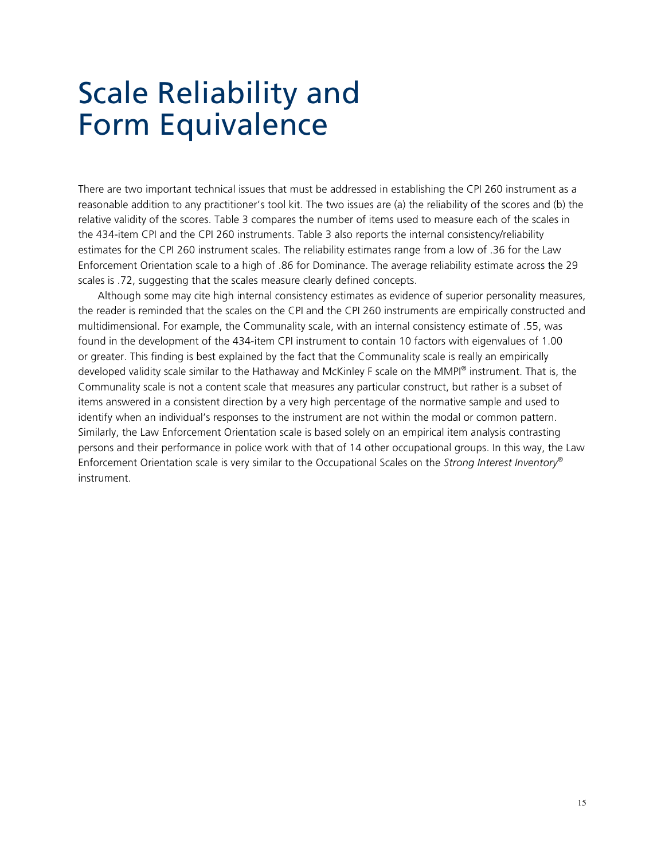### Scale Reliability and Form Equivalence

There are two important technical issues that must be addressed in establishing the CPI 260 instrument as a reasonable addition to any practitioner's tool kit. The two issues are (a) the reliability of the scores and (b) the relative validity of the scores. Table 3 compares the number of items used to measure each of the scales in the 434-item CPI and the CPI 260 instruments. Table 3 also reports the internal consistency/reliability estimates for the CPI 260 instrument scales. The reliability estimates range from a low of .36 for the Law Enforcement Orientation scale to a high of .86 for Dominance. The average reliability estimate across the 29 scales is .72, suggesting that the scales measure clearly defined concepts.

Although some may cite high internal consistency estimates as evidence of superior personality measures, the reader is reminded that the scales on the CPI and the CPI 260 instruments are empirically constructed and multidimensional. For example, the Communality scale, with an internal consistency estimate of .55, was found in the development of the 434-item CPI instrument to contain 10 factors with eigenvalues of 1.00 or greater. This finding is best explained by the fact that the Communality scale is really an empirically developed validity scale similar to the Hathaway and McKinley F scale on the MMPI® instrument. That is, the Communality scale is not a content scale that measures any particular construct, but rather is a subset of items answered in a consistent direction by a very high percentage of the normative sample and used to identify when an individual's responses to the instrument are not within the modal or common pattern. Similarly, the Law Enforcement Orientation scale is based solely on an empirical item analysis contrasting persons and their performance in police work with that of 14 other occupational groups. In this way, the Law Enforcement Orientation scale is very similar to the Occupational Scales on the *Strong Interest Inventory®* instrument.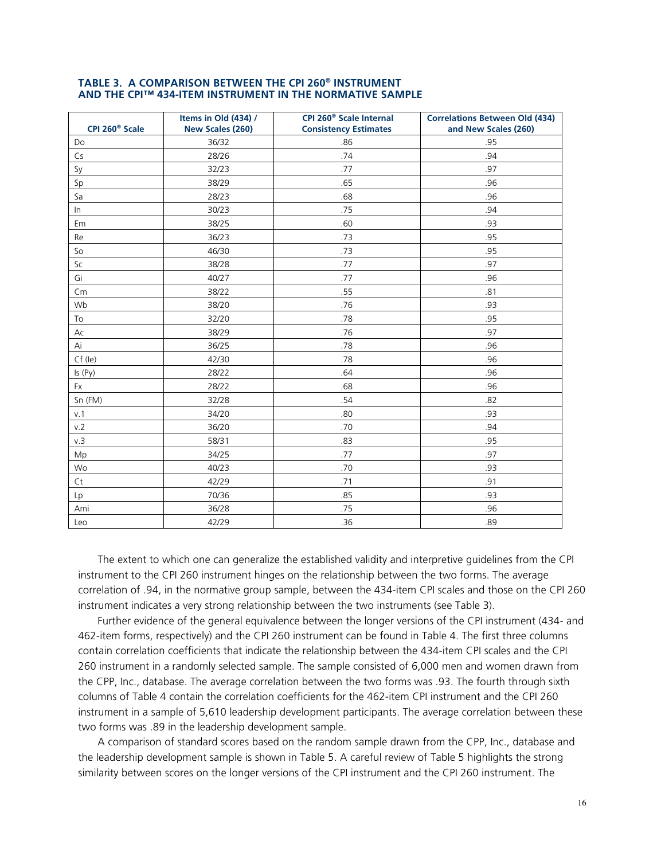| CPI 260 <sup>®</sup> Scale | Items in Old (434) /<br>New Scales (260) | CPI 260 <sup>®</sup> Scale Internal<br><b>Consistency Estimates</b> | <b>Correlations Between Old (434)</b><br>and New Scales (260) |
|----------------------------|------------------------------------------|---------------------------------------------------------------------|---------------------------------------------------------------|
| Do                         | 36/32                                    | .86                                                                 | .95                                                           |
| Cs                         | 28/26                                    | .74                                                                 | .94                                                           |
| Sy                         | 32/23                                    | .77                                                                 | .97                                                           |
| Sp                         | 38/29                                    | .65                                                                 | .96                                                           |
| Sa                         | 28/23                                    | .68                                                                 | .96                                                           |
| In                         | 30/23                                    | .75                                                                 | .94                                                           |
| Em                         | 38/25                                    | .60                                                                 | .93                                                           |
| Re                         | 36/23                                    | .73                                                                 | .95                                                           |
| So                         | 46/30                                    | .73                                                                 | .95                                                           |
| Sc                         | 38/28                                    | .77                                                                 | .97                                                           |
| Gi                         | 40/27                                    | .77                                                                 | .96                                                           |
| Cm                         | 38/22                                    | .55                                                                 | .81                                                           |
| Wb                         | 38/20                                    | .76                                                                 | .93                                                           |
| To                         | 32/20                                    | .78                                                                 | .95                                                           |
| Ac                         | 38/29                                    | .76                                                                 | .97                                                           |
| Ai                         | 36/25                                    | .78                                                                 | .96                                                           |
| $Cf$ (le)                  | 42/30                                    | .78                                                                 | .96                                                           |
| Is (Py)                    | 28/22                                    | .64                                                                 | .96                                                           |
| Fx                         | 28/22                                    | .68                                                                 | .96                                                           |
| Sn (FM)                    | 32/28                                    | .54                                                                 | .82                                                           |
| v.1                        | 34/20                                    | .80                                                                 | .93                                                           |
| v.2                        | 36/20                                    | .70                                                                 | .94                                                           |
| v.3                        | 58/31                                    | .83                                                                 | .95                                                           |
| Mp                         | 34/25                                    | .77                                                                 | .97                                                           |
| Wo                         | 40/23                                    | .70                                                                 | .93                                                           |
| Ct                         | 42/29                                    | .71                                                                 | .91                                                           |
| Lp                         | 70/36                                    | .85                                                                 | .93                                                           |
| Ami                        | 36/28                                    | .75                                                                 | .96                                                           |
| Iep                        | 42/29                                    | 36                                                                  | 89                                                            |

#### TABLE 3. A COMPARISON BETWEEN THE CPI 260<sup>®</sup> INSTRUMENT AND THE CPI™ 434-ITEM INSTRUMENT IN THE NORMATIVE SAMPLE

The extent to which one can generalize the established validity and interpretive guidelines from the CPI instrument to the CPI 260 instrument hinges on the relationship between the two forms. The average correlation of .94, in the normative group sample, between the 434-item CPI scales and those on the CPI 260 instrument indicates a very strong relationship between the two instruments (see Table 3).

Further evidence of the general equivalence between the longer versions of the CPI instrument (434- and 462-item forms, respectively) and the CPI 260 instrument can be found in Table 4. The first three columns contain correlation coefficients that indicate the relationship between the 434-item CPI scales and the CPI 260 instrument in a randomly selected sample. The sample consisted of 6,000 men and women drawn from the CPP, Inc., database. The average correlation between the two forms was .93. The fourth through sixth columns of Table 4 contain the correlation coefficients for the 462-item CPI instrument and the CPI 260 instrument in a sample of 5,610 leadership development participants. The average correlation between these two forms was .89 in the leadership development sample.

A comparison of standard scores based on the random sample drawn from the CPP, Inc., database and the leadership development sample is shown in Table 5. A careful review of Table 5 highlights the strong similarity between scores on the longer versions of the CPI instrument and the CPI 260 instrument. The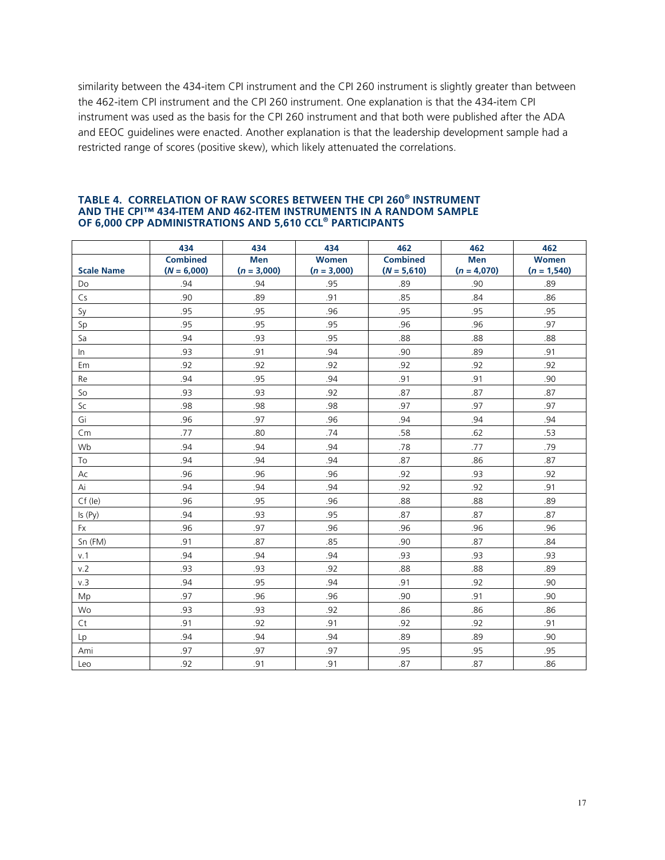similarity between the 434-item CPI instrument and the CPI 260 instrument is slightly greater than between the 462-item CPI instrument and the CPI 260 instrument. One explanation is that the 434-item CPI instrument was used as the basis for the CPI 260 instrument and that both were published after the ADA and EEOC guidelines were enacted. Another explanation is that the leadership development sample had a restricted range of scores (positive skew), which likely attenuated the correlations.

|                   | 434             | 434           | 434           | 462             | 462           | 462           |
|-------------------|-----------------|---------------|---------------|-----------------|---------------|---------------|
|                   | <b>Combined</b> | <b>Men</b>    | <b>Women</b>  | <b>Combined</b> | <b>Men</b>    | <b>Women</b>  |
| <b>Scale Name</b> | $(N = 6,000)$   | $(n = 3,000)$ | $(n = 3,000)$ | $(N = 5,610)$   | $(n = 4,070)$ | $(n = 1,540)$ |
| Do                | .94             | .94           | .95           | .89             | .90           | .89           |
| Cs                | .90             | .89           | .91           | .85             | .84           | .86           |
| Sy                | .95             | .95           | .96           | .95             | .95           | .95           |
| Sp                | .95             | .95           | .95           | .96             | .96           | .97           |
| Sa                | .94             | .93           | .95           | .88             | .88           | .88           |
| In                | .93             | .91           | .94           | .90             | .89           | .91           |
| Em                | .92             | .92           | .92           | .92             | .92           | .92           |
| Re                | .94             | .95           | .94           | .91             | .91           | .90           |
| So                | .93             | .93           | .92           | .87             | .87           | .87           |
| Sc                | .98             | .98           | .98           | .97             | .97           | .97           |
| Gi                | .96             | .97           | .96           | .94             | .94           | .94           |
| Cm                | .77             | .80           | .74           | .58             | .62           | .53           |
| Wb                | .94             | .94           | .94           | .78             | .77           | .79           |
| To                | .94             | .94           | .94           | .87             | .86           | .87           |
| Ac                | .96             | .96           | .96           | .92             | .93           | .92           |
| Ai                | .94             | .94           | .94           | .92             | .92           | .91           |
| $Cf$ (le)         | .96             | .95           | .96           | .88             | .88           | .89           |
| Is(Py)            | .94             | .93           | .95           | .87             | .87           | .87           |
| Fx                | .96             | .97           | .96           | .96             | .96           | .96           |
| Sn (FM)           | .91             | .87           | .85           | .90             | .87           | .84           |
| v.1               | .94             | .94           | .94           | .93             | .93           | .93           |
| v.2               | .93             | .93           | .92           | .88             | .88           | .89           |
| v.3               | .94             | .95           | .94           | .91             | .92           | .90           |
| Mp                | .97             | .96           | .96           | .90             | .91           | .90           |
| Wo                | .93             | .93           | .92           | .86             | .86           | .86           |
| Ct                | .91             | .92           | .91           | .92             | .92           | .91           |
| Lp                | .94             | .94           | .94           | .89             | .89           | .90           |
| Ami               | .97             | .97           | .97           | .95             | .95           | .95           |
| Leo               | .92             | .91           | .91           | .87             | .87           | .86           |

#### **TABLE 4. CORRELATION OF RAW SCORES BETWEEN THE CPI 260® INSTRUMENT AND THE CPI™ 434-ITEM AND 462-ITEM INSTRUMENTS IN A RANDOM SAMPLE OF 6,000 CPP ADMINISTRATIONS AND 5,610 CCL® PARTICIPANTS**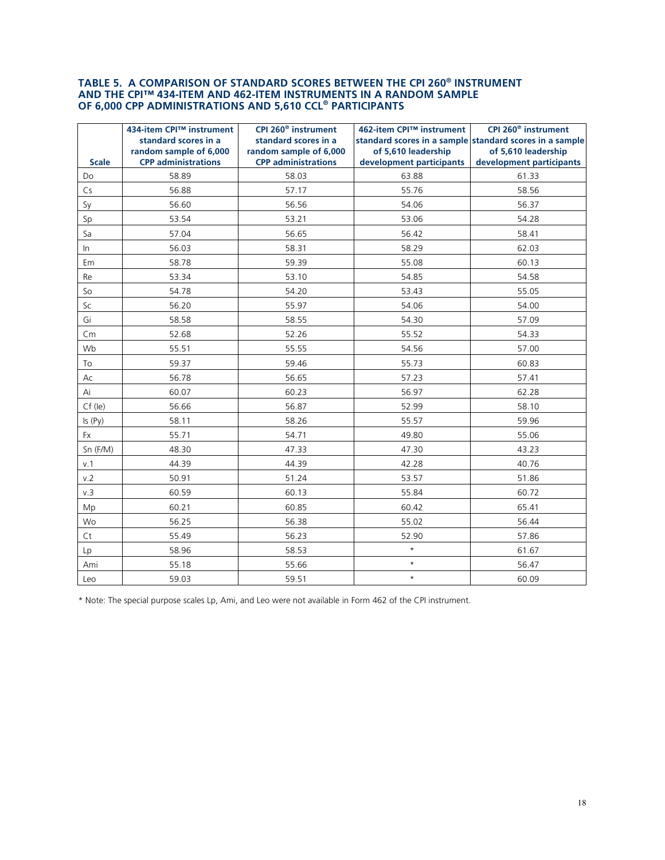# TABLE 5. A COMPARISON OF STANDARD SCORES BETWEEN THE CPI 260® INSTRUMENT<br>AND THE CPI™ 434-ITEM AND 462-ITEM INSTRUMENTS IN A RANDOM SAMPLE<br>OF 6,000 CPP ADMINISTRATIONS AND 5,610 CCL® PARTICIPANTS

|              | 434-item CPI™ instrument<br>standard scores in a     | CPI 260 <sup>®</sup> instrument<br>standard scores in a | 462-item CPI™ instrument                        | CPI 260 <sup>®</sup> instrument<br>standard scores in a sample standard scores in a sample |
|--------------|------------------------------------------------------|---------------------------------------------------------|-------------------------------------------------|--------------------------------------------------------------------------------------------|
| <b>Scale</b> | random sample of 6,000<br><b>CPP administrations</b> | random sample of 6,000<br><b>CPP administrations</b>    | of 5,610 leadership<br>development participants | of 5,610 leadership<br>development participants                                            |
| Do           | 58.89                                                | 58.03                                                   | 63.88                                           | 61.33                                                                                      |
| Cs           | 56.88                                                | 57.17                                                   | 55.76                                           | 58.56                                                                                      |
| Sy           | 56.60                                                | 56.56                                                   | 54.06                                           | 56.37                                                                                      |
| Sp           | 53.54                                                | 53.21                                                   | 53.06                                           | 54.28                                                                                      |
| Sa           | 57.04                                                | 56.65                                                   | 56.42                                           | 58.41                                                                                      |
| In           | 56.03                                                | 58.31                                                   | 58.29                                           | 62.03                                                                                      |
| Em           | 58.78                                                | 59.39                                                   | 55.08                                           | 60.13                                                                                      |
| Re           | 53.34                                                | 53.10                                                   | 54.85                                           | 54.58                                                                                      |
| So           | 54.78                                                | 54.20                                                   | 53.43                                           | 55.05                                                                                      |
| Sc           | 56.20                                                | 55.97                                                   | 54.06                                           | 54.00                                                                                      |
| Gi           | 58.58                                                | 58.55                                                   | 54.30                                           | 57.09                                                                                      |
| Cm           | 52.68                                                | 52.26                                                   | 55.52                                           | 54.33                                                                                      |
| Wb           | 55.51                                                | 55.55                                                   | 54.56                                           | 57.00                                                                                      |
| To           | 59.37                                                | 59.46                                                   | 55.73                                           | 60.83                                                                                      |
| Ac           | 56.78                                                | 56.65                                                   | 57.23                                           | 57.41                                                                                      |
| Ai           | 60.07                                                | 60.23                                                   | 56.97                                           | 62.28                                                                                      |
| $Cf$ (le)    | 56.66                                                | 56.87                                                   | 52.99                                           | 58.10                                                                                      |
| Is (Py)      | 58.11                                                | 58.26                                                   | 55.57                                           | 59.96                                                                                      |
| <b>Fx</b>    | 55.71                                                | 54.71                                                   | 49.80                                           | 55.06                                                                                      |
| Sn (F/M)     | 48.30                                                | 47.33                                                   | 47.30                                           | 43.23                                                                                      |
| v.1          | 44.39                                                | 44.39                                                   | 42.28                                           | 40.76                                                                                      |
| v.2          | 50.91                                                | 51.24                                                   | 53.57                                           | 51.86                                                                                      |
| v.3          | 60.59                                                | 60.13                                                   | 55.84                                           | 60.72                                                                                      |
| Mp           | 60.21                                                | 60.85                                                   | 60.42                                           | 65.41                                                                                      |
| Wo           | 56.25                                                | 56.38                                                   | 55.02                                           | 56.44                                                                                      |
| Ct           | 55.49                                                | 56.23                                                   | 52.90                                           | 57.86                                                                                      |
| Lp           | 58.96                                                | 58.53                                                   | $\star$                                         | 61.67                                                                                      |
| Ami          | 55.18                                                | 55.66                                                   | $\star$                                         | 56.47                                                                                      |
| Leo          | 59.03                                                | 59.51                                                   | $\star$                                         | 60.09                                                                                      |

\* Note: The special purpose scales Lp, Ami, and Leo were not available in Form 462 of the CPI instrument.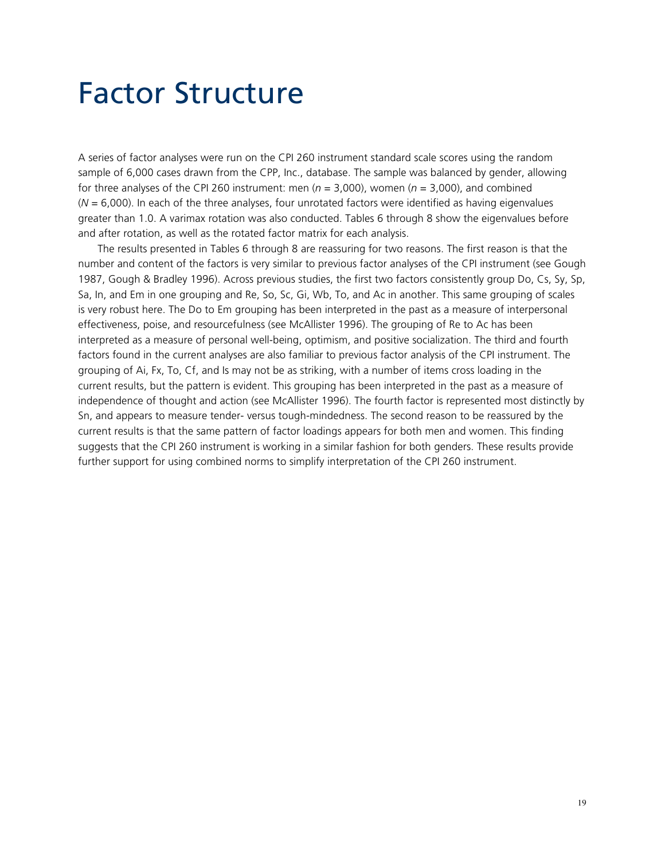### Factor Structure

A series of factor analyses were run on the CPI 260 instrument standard scale scores using the random sample of 6,000 cases drawn from the CPP, Inc., database. The sample was balanced by gender, allowing for three analyses of the CPI 260 instrument: men (*n* = 3,000), women (*n* = 3,000), and combined (*N* = 6,000). In each of the three analyses, four unrotated factors were identified as having eigenvalues greater than 1.0. A varimax rotation was also conducted. Tables 6 through 8 show the eigenvalues before and after rotation, as well as the rotated factor matrix for each analysis.

The results presented in Tables 6 through 8 are reassuring for two reasons. The first reason is that the number and content of the factors is very similar to previous factor analyses of the CPI instrument (see Gough 1987, Gough & Bradley 1996). Across previous studies, the first two factors consistently group Do, Cs, Sy, Sp, Sa, In, and Em in one grouping and Re, So, Sc, Gi, Wb, To, and Ac in another. This same grouping of scales is very robust here. The Do to Em grouping has been interpreted in the past as a measure of interpersonal effectiveness, poise, and resourcefulness (see McAllister 1996). The grouping of Re to Ac has been interpreted as a measure of personal well-being, optimism, and positive socialization. The third and fourth factors found in the current analyses are also familiar to previous factor analysis of the CPI instrument. The grouping of Ai, Fx, To, Cf, and Is may not be as striking, with a number of items cross loading in the current results, but the pattern is evident. This grouping has been interpreted in the past as a measure of independence of thought and action (see McAllister 1996). The fourth factor is represented most distinctly by Sn, and appears to measure tender- versus tough-mindedness. The second reason to be reassured by the current results is that the same pattern of factor loadings appears for both men and women. This finding suggests that the CPI 260 instrument is working in a similar fashion for both genders. These results provide further support for using combined norms to simplify interpretation of the CPI 260 instrument.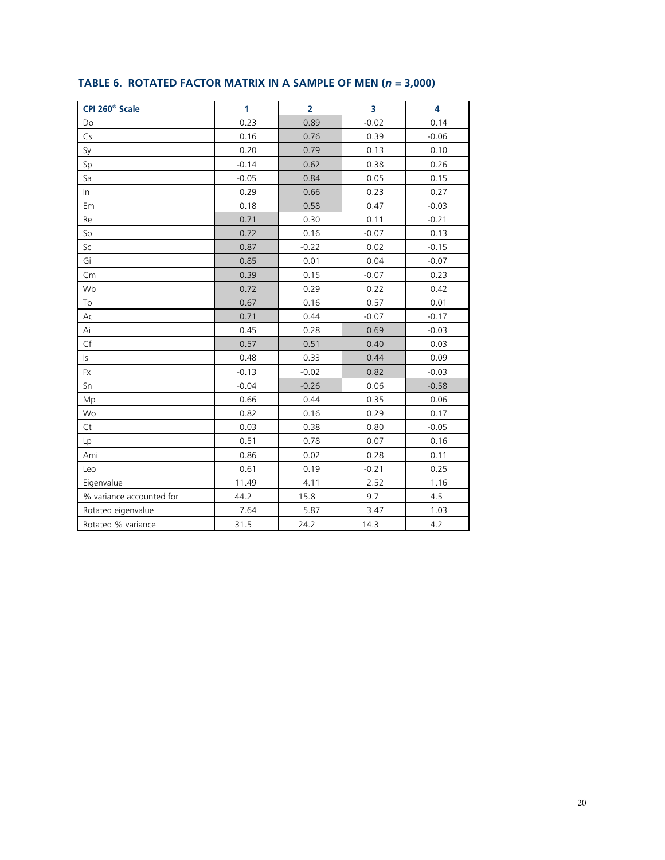| CPI 260 <sup>®</sup> Scale | 1       | $\overline{2}$ | 3       | 4       |
|----------------------------|---------|----------------|---------|---------|
| Do                         | 0.23    | 0.89           | $-0.02$ | 0.14    |
| Cs                         | 0.16    | 0.76           | 0.39    | $-0.06$ |
| Sy                         | 0.20    | 0.79           | 0.13    | 0.10    |
| Sp                         | $-0.14$ | 0.62           | 0.38    | 0.26    |
| Sa                         | $-0.05$ | 0.84           | 0.05    | 0.15    |
| $\ln$                      | 0.29    | 0.66           | 0.23    | 0.27    |
| Em                         | 0.18    | 0.58           | 0.47    | $-0.03$ |
| Re                         | 0.71    | 0.30           | 0.11    | $-0.21$ |
| So                         | 0.72    | 0.16           | $-0.07$ | 0.13    |
| Sc                         | 0.87    | $-0.22$        | 0.02    | $-0.15$ |
| Gi                         | 0.85    | 0.01           | 0.04    | $-0.07$ |
| Cm                         | 0.39    | 0.15           | $-0.07$ | 0.23    |
| Wb                         | 0.72    | 0.29           | 0.22    | 0.42    |
| To                         | 0.67    | 0.16           | 0.57    | 0.01    |
| Ac                         | 0.71    | 0.44           | $-0.07$ | $-0.17$ |
| Ai                         | 0.45    | 0.28           | 0.69    | $-0.03$ |
| Cf                         | 0.57    | 0.51           | 0.40    | 0.03    |
| $\mathsf{S}$               | 0.48    | 0.33           | 0.44    | 0.09    |
| Fx                         | $-0.13$ | $-0.02$        | 0.82    | $-0.03$ |
| Sn                         | $-0.04$ | $-0.26$        | 0.06    | $-0.58$ |
| Mp                         | 0.66    | 0.44           | 0.35    | 0.06    |
| Wo                         | 0.82    | 0.16           | 0.29    | 0.17    |
| Ct                         | 0.03    | 0.38           | 0.80    | $-0.05$ |
| Lp                         | 0.51    | 0.78           | 0.07    | 0.16    |
| Ami                        | 0.86    | 0.02           | 0.28    | 0.11    |
| Leo                        | 0.61    | 0.19           | $-0.21$ | 0.25    |
| Eigenvalue                 | 11.49   | 4.11           | 2.52    | 1.16    |
| % variance accounted for   | 44.2    | 15.8           | 9.7     | 4.5     |
| Rotated eigenvalue         | 7.64    | 5.87           | 3.47    | 1.03    |
| Rotated % variance         | 31.5    | 24.2           | 14.3    | 4.2     |

### TABLE 6. ROTATED FACTOR MATRIX IN A SAMPLE OF MEN ( $n = 3,000$ )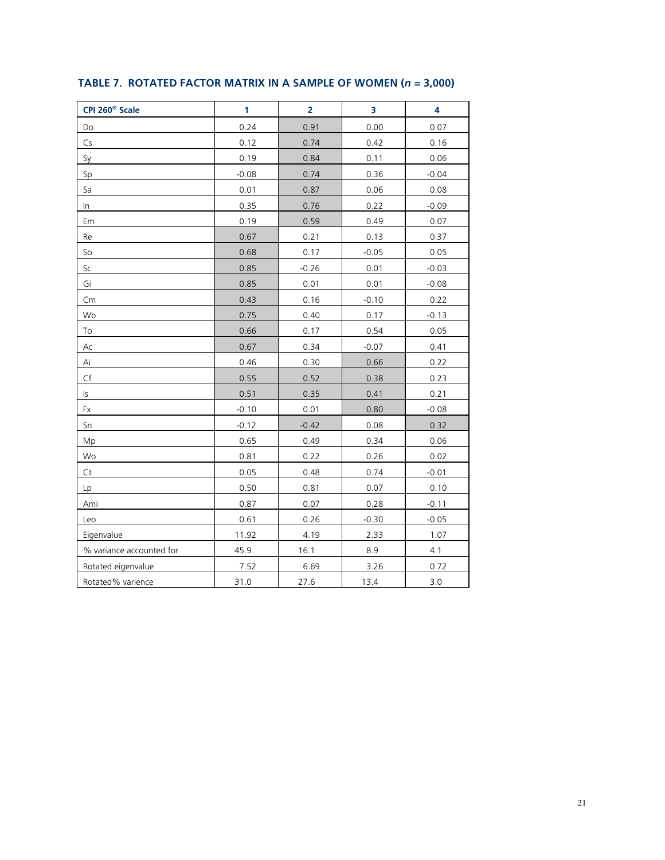| CPI 260 <sup>®</sup> Scale | 1       | $\overline{2}$ | 3       | 4       |
|----------------------------|---------|----------------|---------|---------|
| Do                         | 0.24    | 0.91           | 0.00    | 0.07    |
| Cs                         | 0.12    | 0.74           | 0.42    | 0.16    |
| Sy                         | 0.19    | 0.84           | 0.11    | 0.06    |
| Sp                         | $-0.08$ | 0.74           | 0.36    | $-0.04$ |
| Sa                         | 0.01    | 0.87           | 0.06    | 0.08    |
| In                         | 0.35    | 0.76           | 0.22    | $-0.09$ |
| Em                         | 0.19    | 0.59           | 0.49    | 0.07    |
| Re                         | 0.67    | 0.21           | 0.13    | 0.37    |
| So                         | 0.68    | 0.17           | $-0.05$ | 0.05    |
| Sc                         | 0.85    | $-0.26$        | 0.01    | $-0.03$ |
| Gi                         | 0.85    | 0.01           | 0.01    | $-0.08$ |
| Cm                         | 0.43    | 0.16           | $-0.10$ | 0.22    |
| Wb                         | 0.75    | 0.40           | 0.17    | $-0.13$ |
| To                         | 0.66    | 0.17           | 0.54    | 0.05    |
| $\mathsf{Ac}$              | 0.67    | 0.34           | $-0.07$ | 0.41    |
| Ai                         | 0.46    | 0.30           | 0.66    | 0.22    |
| Cf                         | 0.55    | 0.52           | 0.38    | 0.23    |
| ls.                        | 0.51    | 0.35           | 0.41    | 0.21    |
| Fx                         | $-0.10$ | 0.01           | 0.80    | $-0.08$ |
| Sn                         | $-0.12$ | $-0.42$        | 0.08    | 0.32    |
| Mp                         | 0.65    | 0.49           | 0.34    | 0.06    |
| Wo                         | 0.81    | 0.22           | 0.26    | 0.02    |
| Ct                         | 0.05    | 0.48           | 0.74    | $-0.01$ |
| Lp                         | 0.50    | 0.81           | 0.07    | 0.10    |
| Ami                        | 0.87    | 0.07           | 0.28    | $-0.11$ |
| Leo                        | 0.61    | 0.26           | $-0.30$ | $-0.05$ |
| Eigenvalue                 | 11.92   | 4.19           | 2.33    | 1.07    |
| % variance accounted for   | 45.9    | 16.1           | 8.9     | 4.1     |
| Rotated eigenvalue         | 7.52    | 6.69           | 3.26    | 0.72    |
| Rotated% varience          | 31.0    | 27.6           | 13.4    | 3.0     |

### TABLE 7. ROTATED FACTOR MATRIX IN A SAMPLE OF WOMEN ( $n = 3,000$ )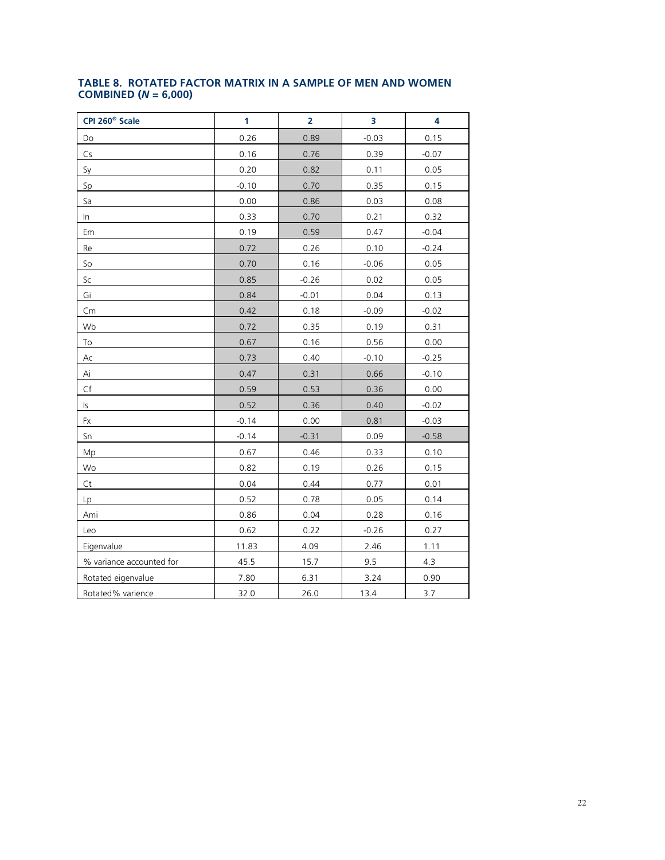### TABLE 8. ROTATED FACTOR MATRIX IN A SAMPLE OF MEN AND WOMEN COMBINED ( $N = 6,000$ )

| CPI 260 <sup>®</sup> Scale | 1       | $\overline{2}$ | 3       | 4       |
|----------------------------|---------|----------------|---------|---------|
| Do                         | 0.26    | 0.89           | $-0.03$ | 0.15    |
| Cs                         | 0.16    | 0.76           | 0.39    | $-0.07$ |
| Sy                         | 0.20    | 0.82           | 0.11    | 0.05    |
| Sp                         | $-0.10$ | 0.70           | 0.35    | 0.15    |
| Sa                         | 0.00    | 0.86           | 0.03    | 0.08    |
| In                         | 0.33    | 0.70           | 0.21    | 0.32    |
| Em                         | 0.19    | 0.59           | 0.47    | $-0.04$ |
| Re                         | 0.72    | 0.26           | 0.10    | $-0.24$ |
| So                         | 0.70    | 0.16           | $-0.06$ | 0.05    |
| Sc                         | 0.85    | $-0.26$        | 0.02    | 0.05    |
| Gi                         | 0.84    | $-0.01$        | 0.04    | 0.13    |
| Cm                         | 0.42    | 0.18           | $-0.09$ | $-0.02$ |
| Wb                         | 0.72    | 0.35           | 0.19    | 0.31    |
| To                         | 0.67    | 0.16           | 0.56    | 0.00    |
| Ac                         | 0.73    | 0.40           | $-0.10$ | $-0.25$ |
| Ai                         | 0.47    | 0.31           | 0.66    | $-0.10$ |
| $\mathsf{C}\mathsf{f}$     | 0.59    | 0.53           | 0.36    | 0.00    |
| ls                         | 0.52    | 0.36           | 0.40    | $-0.02$ |
| Fx                         | $-0.14$ | 0.00           | 0.81    | $-0.03$ |
| Sn                         | $-0.14$ | $-0.31$        | 0.09    | $-0.58$ |
| Mp                         | 0.67    | 0.46           | 0.33    | 0.10    |
| Wo                         | 0.82    | 0.19           | 0.26    | 0.15    |
| Ct                         | 0.04    | 0.44           | 0.77    | 0.01    |
| Lp                         | 0.52    | 0.78           | 0.05    | 0.14    |
| Ami                        | 0.86    | 0.04           | 0.28    | 0.16    |
| Leo                        | 0.62    | 0.22           | $-0.26$ | 0.27    |
| Eigenvalue                 | 11.83   | 4.09           | 2.46    | 1.11    |
| % variance accounted for   | 45.5    | 15.7           | 9.5     | 4.3     |
| Rotated eigenvalue         | 7.80    | 6.31           | 3.24    | 0.90    |
| Rotated% varience          | 32.0    | 26.0           | 13.4    | 3.7     |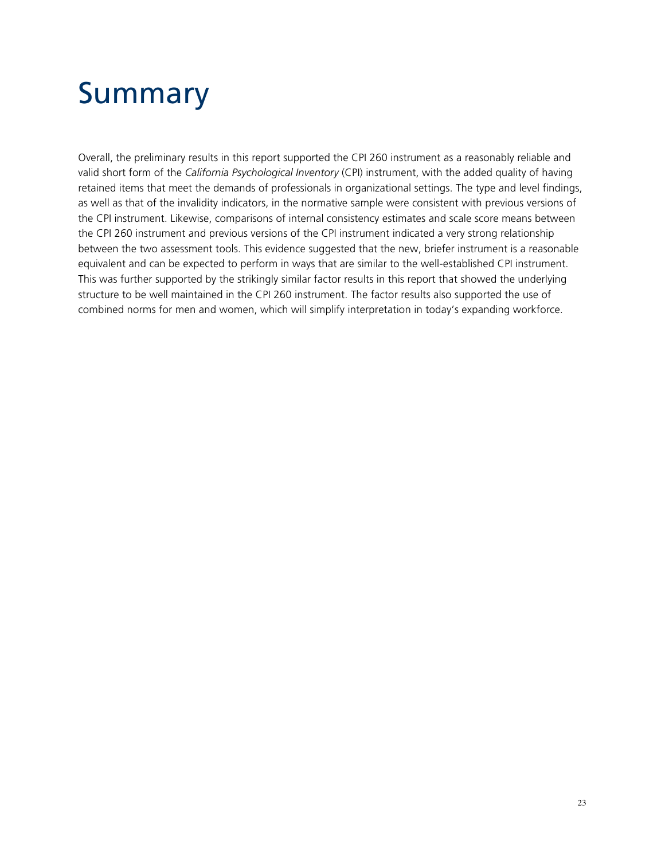# Summary

Overall, the preliminary results in this report supported the CPI 260 instrument as a reasonably reliable and valid short form of the *California Psychological Inventory* (CPI) instrument, with the added quality of having retained items that meet the demands of professionals in organizational settings. The type and level findings, as well as that of the invalidity indicators, in the normative sample were consistent with previous versions of the CPI instrument. Likewise, comparisons of internal consistency estimates and scale score means between the CPI 260 instrument and previous versions of the CPI instrument indicated a very strong relationship between the two assessment tools. This evidence suggested that the new, briefer instrument is a reasonable equivalent and can be expected to perform in ways that are similar to the well-established CPI instrument. This was further supported by the strikingly similar factor results in this report that showed the underlying structure to be well maintained in the CPI 260 instrument. The factor results also supported the use of combined norms for men and women, which will simplify interpretation in today's expanding workforce.